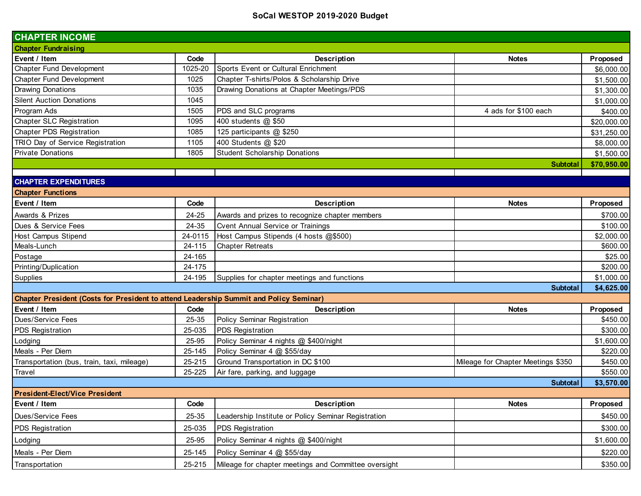| <b>CHAPTER INCOME</b>                                                                  |         |                                                      |                                    |             |
|----------------------------------------------------------------------------------------|---------|------------------------------------------------------|------------------------------------|-------------|
| <b>Chapter Fundraising</b>                                                             |         |                                                      |                                    |             |
| Event / Item                                                                           | Code    | Description                                          | <b>Notes</b>                       | Proposed    |
| Chapter Fund Development                                                               | 1025-20 | Sports Event or Cultural Enrichment                  |                                    | \$6,000.00  |
| Chapter Fund Development                                                               | 1025    | Chapter T-shirts/Polos & Scholarship Drive           |                                    | \$1,500.00  |
| <b>Drawing Donations</b>                                                               | 1035    | Drawing Donations at Chapter Meetings/PDS            |                                    | \$1,300.00  |
| <b>Silent Auction Donations</b>                                                        | 1045    |                                                      |                                    | \$1,000.00  |
| Program Ads                                                                            | 1505    | PDS and SLC programs                                 | 4 ads for \$100 each               | \$400.00    |
| <b>Chapter SLC Registration</b>                                                        | 1095    | 400 students @ \$50                                  |                                    | \$20,000.00 |
| <b>Chapter PDS Registration</b>                                                        | 1085    | 125 participants @ \$250                             |                                    | \$31,250.00 |
| TRIO Day of Service Registration                                                       | 1105    | 400 Students @ \$20                                  |                                    | \$8,000.00  |
| <b>Private Donations</b>                                                               | 1805    | <b>Student Scholarship Donations</b>                 |                                    | \$1,500.00  |
|                                                                                        |         |                                                      | <b>Subtotal</b>                    | \$70,950.00 |
| <b>CHAPTER EXPENDITURES</b>                                                            |         |                                                      |                                    |             |
| <b>Chapter Functions</b>                                                               |         |                                                      |                                    |             |
| Event / Item                                                                           | Code    | Description                                          | <b>Notes</b>                       | Proposed    |
| Awards & Prizes                                                                        | 24-25   | Awards and prizes to recognize chapter members       |                                    | \$700.00    |
| Dues & Service Fees                                                                    | 24-35   | <b>Cvent Annual Service or Trainings</b>             |                                    | \$100.00    |
| Host Campus Stipend                                                                    | 24-0115 | Host Campus Stipends (4 hosts @\$500)                |                                    | \$2,000.00  |
| Meals-Lunch                                                                            | 24-115  | <b>Chapter Retreats</b>                              |                                    | \$600.00    |
| Postage                                                                                | 24-165  |                                                      |                                    | \$25.00     |
| Printing/Duplication                                                                   | 24-175  |                                                      |                                    | \$200.00    |
| Supplies                                                                               | 24-195  | Supplies for chapter meetings and functions          |                                    | \$1,000.00  |
|                                                                                        |         |                                                      | <b>Subtotal</b>                    | \$4,625.00  |
| Chapter President (Costs for President to attend Leadership Summit and Policy Seminar) |         |                                                      |                                    |             |
| Event / Item                                                                           | Code    | Description                                          | <b>Notes</b>                       | Proposed    |
| Dues/Service Fees                                                                      | 25-35   | Policy Seminar Registration                          |                                    | \$450.00    |
| PDS Registration                                                                       | 25-035  | <b>PDS Registration</b>                              |                                    | \$300.00    |
| Lodging                                                                                | 25-95   | Policy Seminar 4 nights @ \$400/night                |                                    | \$1,600.00  |
| Meals - Per Diem                                                                       | 25-145  | Policy Seminar 4 @ \$55/day                          |                                    | \$220.00    |
| Transportation (bus, train, taxi, mileage)                                             | 25-215  | Ground Transportation in DC \$100                    | Mileage for Chapter Meetings \$350 | \$450.00    |
| Travel                                                                                 | 25-225  | Air fare, parking, and luggage                       |                                    | \$550.00    |
|                                                                                        |         |                                                      | <b>Subtotal</b>                    | \$3,570.00  |
| <b>President-Elect/Vice President</b>                                                  |         |                                                      |                                    |             |
| Event / Item                                                                           | Code    | Description                                          | <b>Notes</b>                       | Proposed    |
| Dues/Service Fees                                                                      | 25-35   | Leadership Institute or Policy Seminar Registration  |                                    | \$450.00    |
| <b>PDS Registration</b>                                                                | 25-035  | <b>PDS Registration</b>                              |                                    | \$300.00    |
| Lodging                                                                                | 25-95   | Policy Seminar 4 nights @ \$400/night                |                                    | \$1,600.00  |
| Meals - Per Diem                                                                       | 25-145  | Policy Seminar 4 @ \$55/day                          |                                    | \$220.00    |
| Transportation                                                                         | 25-215  | Mileage for chapter meetings and Committee oversight |                                    | \$350.00    |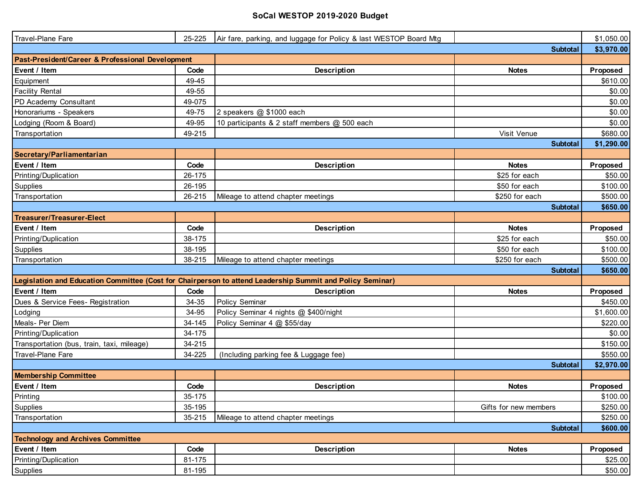| Travel-Plane Fare                                | 25-225 | Air fare, parking, and luggage for Policy & last WESTOP Board Mtg                                         |                       | \$1,050.00 |
|--------------------------------------------------|--------|-----------------------------------------------------------------------------------------------------------|-----------------------|------------|
|                                                  |        |                                                                                                           | <b>Subtotal</b>       | \$3,970.00 |
| Past-President/Career & Professional Development |        |                                                                                                           |                       |            |
| Event / Item                                     | Code   | Description                                                                                               | <b>Notes</b>          | Proposed   |
| Equipment                                        | 49-45  |                                                                                                           |                       | \$610.00   |
| <b>Facility Rental</b>                           | 49-55  |                                                                                                           |                       | \$0.00     |
| PD Academy Consultant                            | 49-075 |                                                                                                           |                       | \$0.00     |
| Honorariums - Speakers                           | 49-75  | 2 speakers @ \$1000 each                                                                                  |                       | \$0.00     |
| Lodging (Room & Board)                           | 49-95  | 10 participants & 2 staff members @ 500 each                                                              |                       | \$0.00     |
| Transportation                                   | 49-215 |                                                                                                           | Visit Venue           | \$680.00   |
|                                                  |        |                                                                                                           | <b>Subtotal</b>       | \$1,290.00 |
| Secretary/Parliamentarian                        |        |                                                                                                           |                       |            |
| Event / Item                                     | Code   | <b>Description</b>                                                                                        | <b>Notes</b>          | Proposed   |
| Printing/Duplication                             | 26-175 |                                                                                                           | \$25 for each         | \$50.00    |
| Supplies                                         | 26-195 |                                                                                                           | \$50 for each         | \$100.00   |
| Transportation                                   | 26-215 | Mileage to attend chapter meetings                                                                        | \$250 for each        | \$500.00   |
|                                                  |        |                                                                                                           | <b>Subtotal</b>       | \$650.00   |
| <b>Treasurer/Treasurer-Elect</b>                 |        |                                                                                                           |                       |            |
| Event / Item                                     | Code   | Description                                                                                               | <b>Notes</b>          | Proposed   |
| Printing/Duplication                             | 38-175 |                                                                                                           | \$25 for each         | \$50.00    |
| Supplies                                         | 38-195 |                                                                                                           | \$50 for each         | \$100.00   |
| Transportation                                   | 38-215 | Mileage to attend chapter meetings                                                                        | \$250 for each        | \$500.00   |
|                                                  |        |                                                                                                           | <b>Subtotal</b>       | \$650.00   |
|                                                  |        | Legislation and Education Committee (Cost for Chairperson to attend Leadership Summit and Policy Seminar) |                       |            |
| Event / Item                                     | Code   | <b>Description</b>                                                                                        | <b>Notes</b>          | Proposed   |
| Dues & Service Fees- Registration                | 34-35  | Policy Seminar                                                                                            |                       | \$450.00   |
| Lodging                                          | 34-95  | Policy Seminar 4 nights @ \$400/night                                                                     |                       | \$1,600.00 |
| Meals- Per Diem                                  | 34-145 | Policy Seminar 4 @ \$55/day                                                                               |                       | \$220.00   |
| Printing/Duplication                             | 34-175 |                                                                                                           |                       | \$0.00     |
| Transportation (bus, train, taxi, mileage)       | 34-215 |                                                                                                           |                       | \$150.00   |
| Travel-Plane Fare                                | 34-225 | (Including parking fee & Luggage fee)                                                                     |                       | \$550.00   |
|                                                  |        |                                                                                                           | <b>Subtotal</b>       | \$2,970.00 |
| <b>Membership Committee</b>                      |        |                                                                                                           |                       |            |
| Event / Item                                     | Code   | Description                                                                                               | <b>Notes</b>          | Proposed   |
| Printing                                         | 35-175 |                                                                                                           |                       | \$100.00   |
| Supplies                                         | 35-195 |                                                                                                           | Gifts for new members | \$250.00   |
| Transportation                                   | 35-215 | Mileage to attend chapter meetings                                                                        |                       | \$250.00   |
|                                                  |        |                                                                                                           | <b>Subtotal</b>       | \$600.00   |
| <b>Technology and Archives Committee</b>         |        |                                                                                                           |                       |            |
| Event / Item                                     | Code   | Description                                                                                               | <b>Notes</b>          | Proposed   |
| Printing/Duplication                             | 81-175 |                                                                                                           |                       | \$25.00    |
| Supplies                                         | 81-195 |                                                                                                           |                       | \$50.00    |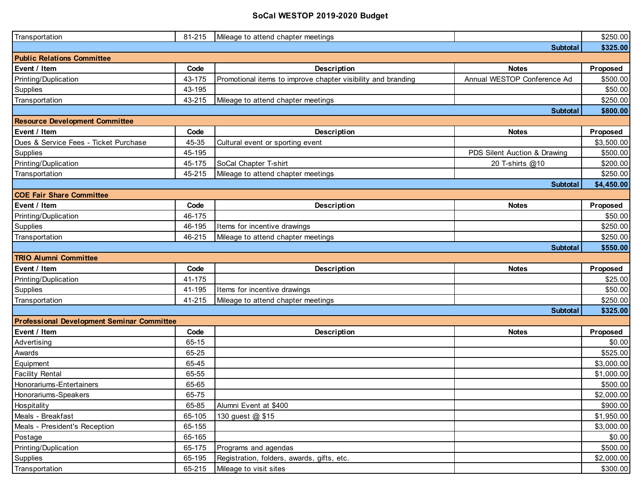| Transportation                                    | 81-215 | Mileage to attend chapter meetings                           |                              | \$250.00   |
|---------------------------------------------------|--------|--------------------------------------------------------------|------------------------------|------------|
|                                                   |        |                                                              | <b>Subtotal</b>              | \$325.00   |
| <b>Public Relations Committee</b>                 |        |                                                              |                              |            |
| Event / Item                                      | Code   | Description                                                  | <b>Notes</b>                 | Proposed   |
| Printing/Duplication                              | 43-175 | Promotional items to improve chapter visibility and branding | Annual WESTOP Conference Ad  | \$500.00   |
| Supplies                                          | 43-195 |                                                              |                              | \$50.00    |
| Transportation                                    | 43-215 | Mileage to attend chapter meetings                           |                              | \$250.00   |
|                                                   |        |                                                              | <b>Subtotal</b>              | \$800.00   |
| <b>Resource Development Committee</b>             |        |                                                              |                              |            |
| Event / Item                                      | Code   | <b>Description</b>                                           | <b>Notes</b>                 | Proposed   |
| Dues & Service Fees - Ticket Purchase             | 45-35  | Cultural event or sporting event                             |                              | \$3,500.00 |
| Supplies                                          | 45-195 |                                                              | PDS Silent Auction & Drawing | \$500.00   |
| Printing/Duplication                              | 45-175 | SoCal Chapter T-shirt                                        | 20 T-shirts @10              | \$200.00   |
| Transportation                                    | 45-215 | Mileage to attend chapter meetings                           |                              | \$250.00   |
|                                                   |        |                                                              | <b>Subtotal</b>              | \$4,450.00 |
| <b>COE Fair Share Committee</b>                   |        |                                                              |                              |            |
| Event / Item                                      | Code   | Description                                                  | <b>Notes</b>                 | Proposed   |
| Printing/Duplication                              | 46-175 |                                                              |                              | \$50.00    |
| Supplies                                          | 46-195 | Items for incentive drawings                                 |                              | \$250.00   |
| Transportation                                    | 46-215 | Mileage to attend chapter meetings                           |                              | \$250.00   |
|                                                   |        |                                                              | <b>Subtotal</b>              | \$550.00   |
| <b>TRIO Alumni Committee</b>                      |        |                                                              |                              |            |
| Event / Item                                      | Code   | Description                                                  | <b>Notes</b>                 | Proposed   |
| Printing/Duplication                              | 41-175 |                                                              |                              | \$25.00    |
| Supplies                                          | 41-195 | Items for incentive drawings                                 |                              | \$50.00    |
| Transportation                                    | 41-215 | Mileage to attend chapter meetings                           |                              | \$250.00   |
|                                                   |        |                                                              | <b>Subtotal</b>              | \$325.00   |
| <b>Professional Development Seminar Committee</b> |        |                                                              |                              |            |
| Event / Item                                      | Code   | Description                                                  | <b>Notes</b>                 | Proposed   |
| Advertising                                       | 65-15  |                                                              |                              | \$0.00     |
| Awards                                            | 65-25  |                                                              |                              | \$525.00   |
| Equipment                                         | 65-45  |                                                              |                              | \$3,000.00 |
| <b>Facility Rental</b>                            | 65-55  |                                                              |                              | \$1,000.00 |
| Honorariums-Entertainers                          | 65-65  |                                                              |                              | \$500.00   |
| Honorariums-Speakers                              | 65-75  |                                                              |                              | \$2,000.00 |
| Hospitality                                       | 65-85  | Alumni Event at \$400                                        |                              | \$900.00   |
| Meals - Breakfast                                 | 65-105 | 130 guest @ \$15                                             |                              | \$1,950.00 |
| Meals - President's Reception                     | 65-155 |                                                              |                              | \$3,000.00 |
| Postage                                           | 65-165 |                                                              |                              | \$0.00     |
| Printing/Duplication                              | 65-175 | Programs and agendas                                         |                              | \$500.00   |
| Supplies                                          | 65-195 | Registration, folders, awards, gifts, etc.                   |                              | \$2,000.00 |
| Transportation                                    | 65-215 | Mileage to visit sites                                       |                              | \$300.00   |
|                                                   |        |                                                              |                              |            |